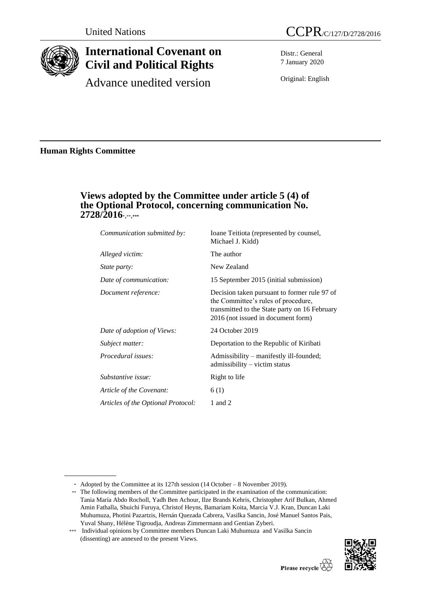

# **International Covenant on Civil and Political Rights**

Advance unedited version

Distr.: General 7 January 2020

Original: English

**Human Rights Committee**

# **Views adopted by the Committee under article 5 (4) of the Optional Protocol, concerning communication No. 2728/2016**\*,\*\*,**\*\*\***

| Communication submitted by:        | Ioane Teitiota (represented by counsel,<br>Michael J. Kidd)                                                                                                                |
|------------------------------------|----------------------------------------------------------------------------------------------------------------------------------------------------------------------------|
| Alleged victim:                    | The author                                                                                                                                                                 |
| <i>State party:</i>                | New Zealand                                                                                                                                                                |
| Date of communication:             | 15 September 2015 (initial submission)                                                                                                                                     |
| Document reference:                | Decision taken pursuant to former rule 97 of<br>the Committee's rules of procedure,<br>transmitted to the State party on 16 February<br>2016 (not issued in document form) |
| Date of adoption of Views:         | 24 October 2019                                                                                                                                                            |
| Subject matter:                    | Deportation to the Republic of Kiribati                                                                                                                                    |
| Procedural issues:                 | Admissibility – manifestly ill-founded;<br>admissibility – victim status                                                                                                   |
| Substantive issue:                 | Right to life                                                                                                                                                              |
| Article of the Covenant:           | 6(1)                                                                                                                                                                       |
| Articles of the Optional Protocol: | 1 and 2                                                                                                                                                                    |

<sup>\*\*\*</sup> Individual opinions by Committee members Duncan Laki Muhumuza and Vasilka Sancin (dissenting) are annexed to the present Views.



<sup>\*</sup> Adopted by the Committee at its 127th session (14 October – 8 November 2019).

<sup>\*\*</sup> The following members of the Committee participated in the examination of the communication: Tania María Abdo Rocholl, Yadh Ben Achour, Ilze Brands Kehris, Christopher Arif Bulkan, Ahmed Amin Fathalla, Shuichi Furuya, Christof Heyns, Bamariam Koita, Marcia V.J. Kran, Duncan Laki Muhumuza, Photini Pazartzis, Hernán Quezada Cabrera, Vasilka Sancin, José Manuel Santos Pais, Yuval Shany, Hélène Tigroudja, Andreas Zimmermann and Gentian Zyberi.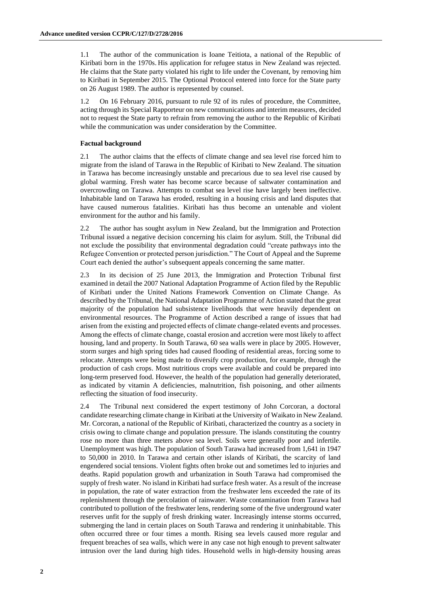1.1 The author of the communication is Ioane Teitiota, a national of the Republic of Kiribati born in the 1970s. His application for refugee status in New Zealand was rejected. He claims that the State party violated his right to life under the Covenant, by removing him to Kiribati in September 2015. The Optional Protocol entered into force for the State party on 26 August 1989. The author is represented by counsel.

1.2 On 16 February 2016, pursuant to rule 92 of its rules of procedure, the Committee, acting through its Special Rapporteur on new communications and interim measures, decided not to request the State party to refrain from removing the author to the Republic of Kiribati while the communication was under consideration by the Committee.

#### **Factual background**

2.1 The author claims that the effects of climate change and sea level rise forced him to migrate from the island of Tarawa in the Republic of Kiribati to New Zealand. The situation in Tarawa has become increasingly unstable and precarious due to sea level rise caused by global warming. Fresh water has become scarce because of saltwater contamination and overcrowding on Tarawa. Attempts to combat sea level rise have largely been ineffective. Inhabitable land on Tarawa has eroded, resulting in a housing crisis and land disputes that have caused numerous fatalities. Kiribati has thus become an untenable and violent environment for the author and his family.

2.2 The author has sought asylum in New Zealand, but the Immigration and Protection Tribunal issued a negative decision concerning his claim for asylum. Still, the Tribunal did not exclude the possibility that environmental degradation could "create pathways into the Refugee Convention or protected person jurisdiction." The Court of Appeal and the Supreme Court each denied the author's subsequent appeals concerning the same matter.

2.3 In its decision of 25 June 2013, the Immigration and Protection Tribunal first examined in detail the 2007 National Adaptation Programme of Action filed by the Republic of Kiribati under the United Nations Framework Convention on Climate Change. As described by the Tribunal, the National Adaptation Programme of Action stated that the great majority of the population had subsistence livelihoods that were heavily dependent on environmental resources. The Programme of Action described a range of issues that had arisen from the existing and projected effects of climate change-related events and processes. Among the effects of climate change, coastal erosion and accretion were most likely to affect housing, land and property. In South Tarawa, 60 sea walls were in place by 2005. However, storm surges and high spring tides had caused flooding of residential areas, forcing some to relocate. Attempts were being made to diversify crop production, for example, through the production of cash crops. Most nutritious crops were available and could be prepared into long-term preserved food. However, the health of the population had generally deteriorated, as indicated by vitamin A deficiencies, malnutrition, fish poisoning, and other ailments reflecting the situation of food insecurity.

2.4 The Tribunal next considered the expert testimony of John Corcoran, a doctoral candidate researching climate change in Kiribati at the University of Waikato in New Zealand. Mr. Corcoran, a national of the Republic of Kiribati, characterized the country as a society in crisis owing to climate change and population pressure. The islands constituting the country rose no more than three meters above sea level. Soils were generally poor and infertile. Unemployment was high. The population of South Tarawa had increased from 1,641 in 1947 to 50,000 in 2010. In Tarawa and certain other islands of Kiribati, the scarcity of land engendered social tensions. Violent fights often broke out and sometimes led to injuries and deaths. Rapid population growth and urbanization in South Tarawa had compromised the supply of fresh water. No island in Kiribati had surface fresh water. As a result of the increase in population, the rate of water extraction from the freshwater lens exceeded the rate of its replenishment through the percolation of rainwater. Waste contamination from Tarawa had contributed to pollution of the freshwater lens, rendering some of the five underground water reserves unfit for the supply of fresh drinking water. Increasingly intense storms occurred, submerging the land in certain places on South Tarawa and rendering it uninhabitable. This often occurred three or four times a month. Rising sea levels caused more regular and frequent breaches of sea walls, which were in any case not high enough to prevent saltwater intrusion over the land during high tides. Household wells in high-density housing areas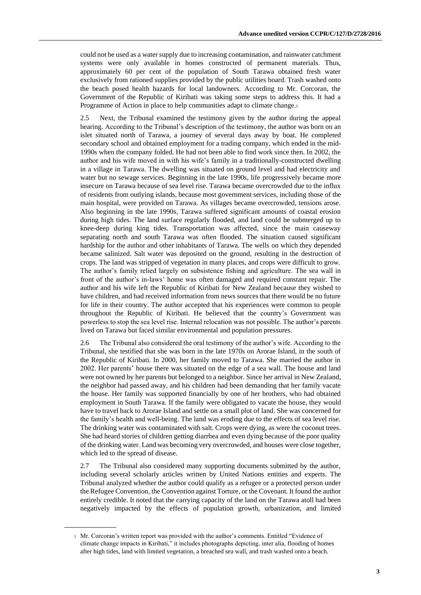could not be used as a water supply due to increasing contamination, and rainwater catchment systems were only available in homes constructed of permanent materials. Thus, approximately 60 per cent of the population of South Tarawa obtained fresh water exclusively from rationed supplies provided by the public utilities board. Trash washed onto the beach posed health hazards for local landowners. According to Mr. Corcoran, the Government of the Republic of Kiribati was taking some steps to address this. It had a Programme of Action in place to help communities adapt to climate change.<sup>1</sup>

2.5 Next, the Tribunal examined the testimony given by the author during the appeal hearing. According to the Tribunal's description of the testimony, the author was born on an islet situated north of Tarawa, a journey of several days away by boat. He completed secondary school and obtained employment for a trading company, which ended in the mid-1990s when the company folded. He had not been able to find work since then. In 2002, the author and his wife moved in with his wife's family in a traditionally-constructed dwelling in a village in Tarawa. The dwelling was situated on ground level and had electricity and water but no sewage services. Beginning in the late 1990s, life progressively became more insecure on Tarawa because of sea level rise. Tarawa became overcrowded due to the influx of residents from outlying islands, because most government services, including those of the main hospital, were provided on Tarawa. As villages became overcrowded, tensions arose. Also beginning in the late 1990s, Tarawa suffered significant amounts of coastal erosion during high tides. The land surface regularly flooded, and land could be submerged up to knee-deep during king tides. Transportation was affected, since the main causeway separating north and south Tarawa was often flooded. The situation caused significant hardship for the author and other inhabitants of Tarawa. The wells on which they depended became salinized. Salt water was deposited on the ground, resulting in the destruction of crops. The land was stripped of vegetation in many places, and crops were difficult to grow. The author's family relied largely on subsistence fishing and agriculture. The sea wall in front of the author's in-laws' home was often damaged and required constant repair. The author and his wife left the Republic of Kiribati for New Zealand because they wished to have children, and had received information from news sources that there would be no future for life in their country. The author accepted that his experiences were common to people throughout the Republic of Kiribati. He believed that the country's Government was powerless to stop the sea level rise. Internal relocation was not possible. The author's parents lived on Tarawa but faced similar environmental and population pressures.

2.6 The Tribunal also considered the oral testimony of the author's wife. According to the Tribunal, she testified that she was born in the late 1970s on Arorae Island, in the south of the Republic of Kiribati. In 2000, her family moved to Tarawa. She married the author in 2002. Her parents' house there was situated on the edge of a sea wall. The house and land were not owned by her parents but belonged to a neighbor. Since her arrival in New Zealand, the neighbor had passed away, and his children had been demanding that her family vacate the house. Her family was supported financially by one of her brothers, who had obtained employment in South Tarawa. If the family were obligated to vacate the house, they would have to travel back to Arorae Island and settle on a small plot of land. She was concerned for the family's health and well-being. The land was eroding due to the effects of sea level rise. The drinking water was contaminated with salt. Crops were dying, as were the coconut trees. She had heard stories of children getting diarrhea and even dying because of the poor quality of the drinking water. Land was becoming very overcrowded, and houses were close together, which led to the spread of disease.

2.7 The Tribunal also considered many supporting documents submitted by the author, including several scholarly articles written by United Nations entities and experts. The Tribunal analyzed whether the author could qualify as a refugee or a protected person under the Refugee Convention, the Convention against Torture, or the Covenant. It found the author entirely credible. It noted that the carrying capacity of the land on the Tarawa atoll had been negatively impacted by the effects of population growth, urbanization, and limited

<sup>1</sup> Mr. Corcoran's written report was provided with the author's comments. Entitled "Evidence of climate change impacts in Kiribati," it includes photographs depicting, inter alia, flooding of homes after high tides, land with limited vegetation, a breached sea wall, and trash washed onto a beach.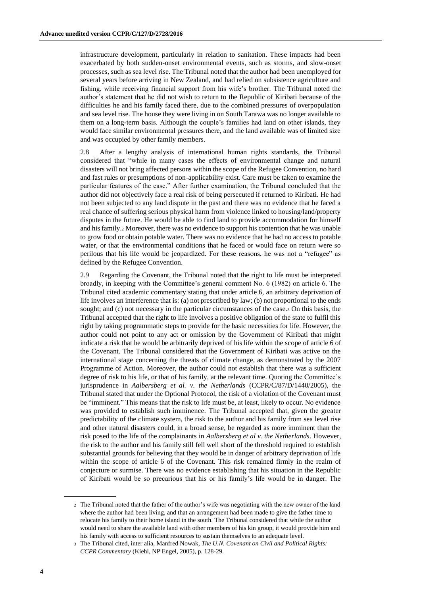infrastructure development, particularly in relation to sanitation. These impacts had been exacerbated by both sudden-onset environmental events, such as storms, and slow-onset processes, such as sea level rise. The Tribunal noted that the author had been unemployed for several years before arriving in New Zealand, and had relied on subsistence agriculture and fishing, while receiving financial support from his wife's brother. The Tribunal noted the author's statement that he did not wish to return to the Republic of Kiribati because of the difficulties he and his family faced there, due to the combined pressures of overpopulation and sea level rise. The house they were living in on South Tarawa was no longer available to them on a long-term basis. Although the couple's families had land on other islands, they would face similar environmental pressures there, and the land available was of limited size and was occupied by other family members.

2.8 After a lengthy analysis of international human rights standards, the Tribunal considered that "while in many cases the effects of environmental change and natural disasters will not bring affected persons within the scope of the Refugee Convention, no hard and fast rules or presumptions of non-applicability exist. Care must be taken to examine the particular features of the case." After further examination, the Tribunal concluded that the author did not objectively face a real risk of being persecuted if returned to Kiribati. He had not been subjected to any land dispute in the past and there was no evidence that he faced a real chance of suffering serious physical harm from violence linked to housing/land/property disputes in the future. He would be able to find land to provide accommodation for himself and his family.<sup>2</sup> Moreover, there was no evidence to support his contention that he was unable to grow food or obtain potable water. There was no evidence that he had no access to potable water, or that the environmental conditions that he faced or would face on return were so perilous that his life would be jeopardized. For these reasons, he was not a "refugee" as defined by the Refugee Convention.

2.9 Regarding the Covenant, the Tribunal noted that the right to life must be interpreted broadly, in keeping with the Committee's general comment No. 6 (1982) on article 6. The Tribunal cited academic commentary stating that under article 6, an arbitrary deprivation of life involves an interference that is: (a) not prescribed by law; (b) not proportional to the ends sought; and (c) not necessary in the particular circumstances of the case.<sup>3</sup> On this basis, the Tribunal accepted that the right to life involves a positive obligation of the state to fulfil this right by taking programmatic steps to provide for the basic necessities for life. However, the author could not point to any act or omission by the Government of Kiribati that might indicate a risk that he would be arbitrarily deprived of his life within the scope of article 6 of the Covenant. The Tribunal considered that the Government of Kiribati was active on the international stage concerning the threats of climate change, as demonstrated by the 2007 Programme of Action. Moreover, the author could not establish that there was a sufficient degree of risk to his life, or that of his family, at the relevant time. Quoting the Committee's jurisprudence in *Aalbersberg et al. v. the Netherlands* (CCPR/C/87/D/1440/2005), the Tribunal stated that under the Optional Protocol, the risk of a violation of the Covenant must be "imminent." This means that the risk to life must be, at least, likely to occur. No evidence was provided to establish such imminence. The Tribunal accepted that, given the greater predictability of the climate system, the risk to the author and his family from sea level rise and other natural disasters could, in a broad sense, be regarded as more imminent than the risk posed to the life of the complainants in *Aalbersberg et al v. the Netherlands*. However, the risk to the author and his family still fell well short of the threshold required to establish substantial grounds for believing that they would be in danger of arbitrary deprivation of life within the scope of article 6 of the Covenant. This risk remained firmly in the realm of conjecture or surmise. There was no evidence establishing that his situation in the Republic of Kiribati would be so precarious that his or his family's life would be in danger. The

<sup>2</sup> The Tribunal noted that the father of the author's wife was negotiating with the new owner of the land where the author had been living, and that an arrangement had been made to give the father time to relocate his family to their home island in the south. The Tribunal considered that while the author would need to share the available land with other members of his kin group, it would provide him and his family with access to sufficient resources to sustain themselves to an adequate level.

<sup>3</sup> The Tribunal cited, inter alia, Manfred Nowak, *The U.N. Covenant on Civil and Political Rights: CCPR Commentary* (Kiehl, NP Engel, 2005), p. 128-29.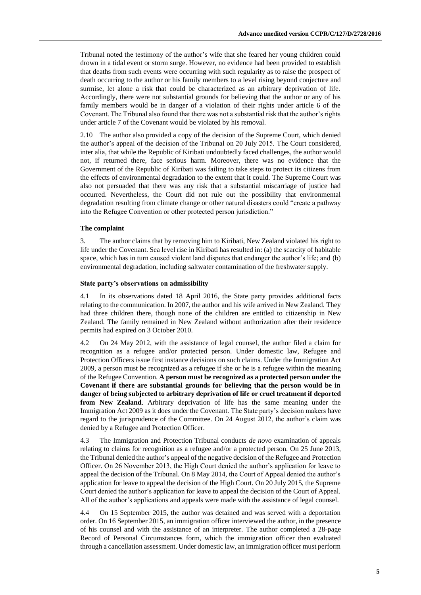Tribunal noted the testimony of the author's wife that she feared her young children could drown in a tidal event or storm surge. However, no evidence had been provided to establish that deaths from such events were occurring with such regularity as to raise the prospect of death occurring to the author or his family members to a level rising beyond conjecture and surmise, let alone a risk that could be characterized as an arbitrary deprivation of life. Accordingly, there were not substantial grounds for believing that the author or any of his family members would be in danger of a violation of their rights under article 6 of the Covenant. The Tribunal also found that there was not a substantial risk that the author's rights under article 7 of the Covenant would be violated by his removal.

2.10 The author also provided a copy of the decision of the Supreme Court, which denied the author's appeal of the decision of the Tribunal on 20 July 2015. The Court considered, inter alia, that while the Republic of Kiribati undoubtedly faced challenges, the author would not, if returned there, face serious harm. Moreover, there was no evidence that the Government of the Republic of Kiribati was failing to take steps to protect its citizens from the effects of environmental degradation to the extent that it could. The Supreme Court was also not persuaded that there was any risk that a substantial miscarriage of justice had occurred. Nevertheless, the Court did not rule out the possibility that environmental degradation resulting from climate change or other natural disasters could "create a pathway into the Refugee Convention or other protected person jurisdiction."

#### **The complaint**

3. The author claims that by removing him to Kiribati, New Zealand violated his right to life under the Covenant. Sea level rise in Kiribati has resulted in: (a) the scarcity of habitable space, which has in turn caused violent land disputes that endanger the author's life; and (b) environmental degradation, including saltwater contamination of the freshwater supply.

#### **State party's observations on admissibility**

4.1 In its observations dated 18 April 2016, the State party provides additional facts relating to the communication. In 2007, the author and his wife arrived in New Zealand. They had three children there, though none of the children are entitled to citizenship in New Zealand. The family remained in New Zealand without authorization after their residence permits had expired on 3 October 2010.

4.2 On 24 May 2012, with the assistance of legal counsel, the author filed a claim for recognition as a refugee and/or protected person. Under domestic law, Refugee and Protection Officers issue first instance decisions on such claims. Under the Immigration Act 2009, a person must be recognized as a refugee if she or he is a refugee within the meaning of the Refugee Convention. **A person must be recognized as a protected person under the Covenant if there are substantial grounds for believing that the person would be in danger of being subjected to arbitrary deprivation of life or cruel treatment if deported from New Zealand**. Arbitrary deprivation of life has the same meaning under the Immigration Act 2009 as it does under the Covenant. The State party's decision makers have regard to the jurisprudence of the Committee. On 24 August 2012, the author's claim was denied by a Refugee and Protection Officer.

4.3 The Immigration and Protection Tribunal conducts *de novo* examination of appeals relating to claims for recognition as a refugee and/or a protected person. On 25 June 2013, the Tribunal denied the author's appeal of the negative decision of the Refugee and Protection Officer. On 26 November 2013, the High Court denied the author's application for leave to appeal the decision of the Tribunal. On 8 May 2014, the Court of Appeal denied the author's application for leave to appeal the decision of the High Court. On 20 July 2015, the Supreme Court denied the author's application for leave to appeal the decision of the Court of Appeal. All of the author's applications and appeals were made with the assistance of legal counsel.

4.4 On 15 September 2015, the author was detained and was served with a deportation order. On 16 September 2015, an immigration officer interviewed the author, in the presence of his counsel and with the assistance of an interpreter. The author completed a 28-page Record of Personal Circumstances form, which the immigration officer then evaluated through a cancellation assessment. Under domestic law, an immigration officer must perform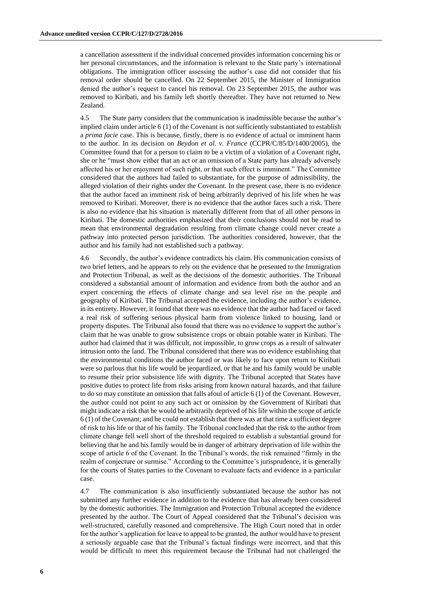a cancellation assessment if the individual concerned provides information concerning his or her personal circumstances, and the information is relevant to the State party's international obligations. The immigration officer assessing the author's case did not consider that his removal order should be cancelled. On 22 September 2015, the Minister of Immigration denied the author's request to cancel his removal. On 23 September 2015, the author was removed to Kiribati, and his family left shortly thereafter. They have not returned to New Zealand.

4.5 The State party considers that the communication is inadmissible because the author's implied claim under article 6 (1) of the Covenant is not sufficiently substantiated to establish a *prima facie* case. This is because, firstly, there is no evidence of actual or imminent harm to the author. In its decision on *Beydon et al. v. France* (CCPR/C/85/D/1400/2005), the Committee found that for a person to claim to be a victim of a violation of a Covenant right, she or he "must show either that an act or an omission of a State party has already adversely affected his or her enjoyment of such right, or that such effect is imminent." The Committee considered that the authors had failed to substantiate, for the purpose of admissibility, the alleged violation of their rights under the Covenant. In the present case, there is no evidence that the author faced an imminent risk of being arbitrarily deprived of his life when he was removed to Kiribati. Moreover, there is no evidence that the author faces such a risk. There is also no evidence that his situation is materially different from that of all other persons in Kiribati. The domestic authorities emphasized that their conclusions should not be read to mean that environmental degradation resulting from climate change could never create a pathway into protected person jurisdiction. The authorities considered, however, that the author and his family had not established such a pathway.

4.6 Secondly, the author's evidence contradicts his claim. His communication consists of two brief letters, and he appears to rely on the evidence that he presented to the Immigration and Protection Tribunal, as well as the decisions of the domestic authorities. The Tribunal considered a substantial amount of information and evidence from both the author and an expert concerning the effects of climate change and sea level rise on the people and geography of Kiribati. The Tribunal accepted the evidence, including the author's evidence, in its entirety. However, it found that there was no evidence that the author had faced or faced a real risk of suffering serious physical harm from violence linked to housing, land or property disputes. The Tribunal also found that there was no evidence to support the author's claim that he was unable to grow subsistence crops or obtain potable water in Kiribati. The author had claimed that it was difficult, not impossible, to grow crops as a result of saltwater intrusion onto the land. The Tribunal considered that there was no evidence establishing that the environmental conditions the author faced or was likely to face upon return to Kiribati were so parlous that his life would be jeopardized, or that he and his family would be unable to resume their prior subsistence life with dignity. The Tribunal accepted that States have positive duties to protect life from risks arising from known natural hazards, and that failure to do so may constitute an omission that falls afoul of article 6 (1) of the Covenant. However, the author could not point to any such act or omission by the Government of Kiribati that might indicate a risk that he would be arbitrarily deprived of his life within the scope of article 6 (1) of the Covenant; and he could not establish that there was at that time a sufficient degree of risk to his life or that of his family. The Tribunal concluded that the risk to the author from climate change fell well short of the threshold required to establish a substantial ground for believing that he and his family would be in danger of arbitrary deprivation of life within the scope of article 6 of the Covenant. In the Tribunal's words, the risk remained "firmly in the realm of conjecture or surmise." According to the Committee's jurisprudence, it is generally for the courts of States parties to the Covenant to evaluate facts and evidence in a particular case.

4.7 The communication is also insufficiently substantiated because the author has not submitted any further evidence in addition to the evidence that has already been considered by the domestic authorities. The Immigration and Protection Tribunal accepted the evidence presented by the author. The Court of Appeal considered that the Tribunal's decision was well-structured, carefully reasoned and comprehensive. The High Court noted that in order for the author's application for leave to appeal to be granted, the author would have to present a seriously arguable case that the Tribunal's factual findings were incorrect, and that this would be difficult to meet this requirement because the Tribunal had not challenged the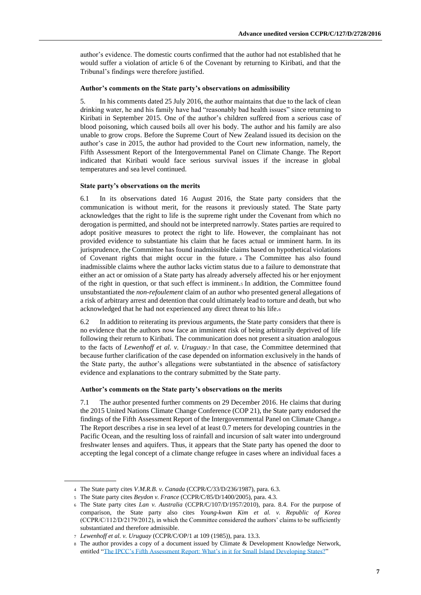author's evidence. The domestic courts confirmed that the author had not established that he would suffer a violation of article 6 of the Covenant by returning to Kiribati, and that the Tribunal's findings were therefore justified.

#### **Author's comments on the State party's observations on admissibility**

5. In his comments dated 25 July 2016, the author maintains that due to the lack of clean drinking water, he and his family have had "reasonably bad health issues" since returning to Kiribati in September 2015. One of the author's children suffered from a serious case of blood poisoning, which caused boils all over his body. The author and his family are also unable to grow crops. Before the Supreme Court of New Zealand issued its decision on the author's case in 2015, the author had provided to the Court new information, namely, the Fifth Assessment Report of the Intergovernmental Panel on Climate Change. The Report indicated that Kiribati would face serious survival issues if the increase in global temperatures and sea level continued.

#### **State party's observations on the merits**

6.1 In its observations dated 16 August 2016, the State party considers that the communication is without merit, for the reasons it previously stated. The State party acknowledges that the right to life is the supreme right under the Covenant from which no derogation is permitted, and should not be interpreted narrowly. States parties are required to adopt positive measures to protect the right to life. However, the complainant has not provided evidence to substantiate his claim that he faces actual or imminent harm. In its jurisprudence, the Committee has found inadmissible claims based on hypothetical violations of Covenant rights that might occur in the future. <sup>4</sup> The Committee has also found inadmissible claims where the author lacks victim status due to a failure to demonstrate that either an act or omission of a State party has already adversely affected his or her enjoyment of the right in question, or that such effect is imminent.<sup>5</sup> In addition, the Committee found unsubstantiated the *non-refoulement* claim of an author who presented general allegations of a risk of arbitrary arrest and detention that could ultimately lead to torture and death, but who acknowledged that he had not experienced any direct threat to his life.<sup>6</sup>

6.2 In addition to reiterating its previous arguments, the State party considers that there is no evidence that the authors now face an imminent risk of being arbitrarily deprived of life following their return to Kiribati. The communication does not present a situation analogous to the facts of *Lewenhoff et al. v. Uruguay.*<sup>7</sup> In that case, the Committee determined that because further clarification of the case depended on information exclusively in the hands of the State party, the author's allegations were substantiated in the absence of satisfactory evidence and explanations to the contrary submitted by the State party.

#### **Author's comments on the State party's observations on the merits**

7.1 The author presented further comments on 29 December 2016. He claims that during the 2015 United Nations Climate Change Conference (COP 21), the State party endorsed the findings of the Fifth Assessment Report of the Intergovernmental Panel on Climate Change.<sup>8</sup> The Report describes a rise in sea level of at least 0.7 meters for developing countries in the Pacific Ocean, and the resulting loss of rainfall and incursion of salt water into underground freshwater lenses and aquifers. Thus, it appears that the State party has opened the door to accepting the legal concept of a climate change refugee in cases where an individual faces a

<sup>4</sup> The State party cites *V.M.R.B. v. Canada* (CCPR/C/33/D/236/1987), para. 6.3.

<sup>5</sup> The State party cites *Beydon v. France* (CCPR/C/85/D/1400/2005), para. 4.3.

<sup>6</sup> The State party cites *Lan v. Australia* (CCPR/C/107/D/1957/2010), para. 8.4. For the purpose of comparison, the State party also cites *Young-kwan Kim et al. v. Republic of Korea* (CCPR/C/112/D/2179/2012), in which the Committee considered the authors' claims to be sufficiently substantiated and therefore admissible.

<sup>7</sup> *Lewenhoff et al. v. Uruguay* (CCPR/C/OP/1 at 109 (1985)), para. 13.3.

<sup>8</sup> The author provides a copy of a document issued by Climate & Development Knowledge Network, entitled ["The IPCC's Fifth Assessment Report: What's in it for Small Island Developing States?"](https://cdkn.org/wp-content/uploads/2014/08/IPCC-AR5-Whats-in-it-for-SIDS_WEB.pdf)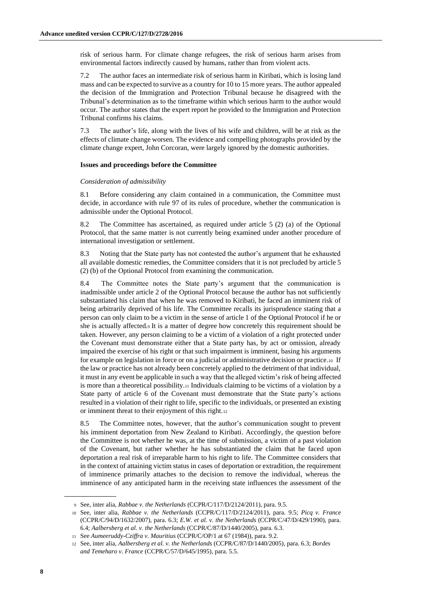risk of serious harm. For climate change refugees, the risk of serious harm arises from environmental factors indirectly caused by humans, rather than from violent acts.

7.2 The author faces an intermediate risk of serious harm in Kiribati, which is losing land mass and can be expected to survive as a country for 10 to 15 more years. The author appealed the decision of the Immigration and Protection Tribunal because he disagreed with the Tribunal's determination as to the timeframe within which serious harm to the author would occur. The author states that the expert report he provided to the Immigration and Protection Tribunal confirms his claims.

7.3 The author's life, along with the lives of his wife and children, will be at risk as the effects of climate change worsen. The evidence and compelling photographs provided by the climate change expert, John Corcoran, were largely ignored by the domestic authorities.

#### **Issues and proceedings before the Committee**

#### *Consideration of admissibility*

8.1 Before considering any claim contained in a communication, the Committee must decide, in accordance with rule 97 of its rules of procedure, whether the communication is admissible under the Optional Protocol.

8.2 The Committee has ascertained, as required under article 5 (2) (a) of the Optional Protocol, that the same matter is not currently being examined under another procedure of international investigation or settlement.

8.3 Noting that the State party has not contested the author's argument that he exhausted all available domestic remedies, the Committee considers that it is not precluded by article 5 (2) (b) of the Optional Protocol from examining the communication.

8.4 The Committee notes the State party's argument that the communication is inadmissible under article 2 of the Optional Protocol because the author has not sufficiently substantiated his claim that when he was removed to Kiribati, he faced an imminent risk of being arbitrarily deprived of his life. The Committee recalls its jurisprudence stating that a person can only claim to be a victim in the sense of article 1 of the Optional Protocol if he or she is actually affected.<sup>9</sup> It is a matter of degree how concretely this requirement should be taken. However, any person claiming to be a victim of a violation of a right protected under the Covenant must demonstrate either that a State party has, by act or omission, already impaired the exercise of his right or that such impairment is imminent, basing his arguments for example on legislation in force or on a judicial or administrative decision or practice.<sup>10</sup> If the law or practice has not already been concretely applied to the detriment of that individual, it mustin any event be applicable in such a way that the alleged victim's risk of being affected is more than a theoretical possibility.<sup>11</sup> Individuals claiming to be victims of a violation by a State party of article 6 of the Covenant must demonstrate that the State party's actions resulted in a violation of their right to life, specific to the individuals, or presented an existing or imminent threat to their enjoyment of this right.<sup>12</sup>

8.5 The Committee notes, however, that the author's communication sought to prevent his imminent deportation from New Zealand to Kiribati. Accordingly, the question before the Committee is not whether he was, at the time of submission, a victim of a past violation of the Covenant, but rather whether he has substantiated the claim that he faced upon deportation a real risk of irreparable harm to his right to life. The Committee considers that in the context of attaining victim status in cases of deportation or extradition, the requirement of imminence primarily attaches to the decision to remove the individual, whereas the imminence of any anticipated harm in the receiving state influences the assessment of the

<sup>9</sup> See, inter alia, *Rabbae v. the Netherlands* (CCPR/C/117/D/2124/2011), para. 9.5.

<sup>10</sup> See, inter alia, *Rabbae v. the Netherlands* (CCPR/C/117/D/2124/2011), para. 9.5; *Picq v. France* (CCPR/C/94/D/1632/2007), para. 6.3; *E.W. et al. v. the Netherlands* (CCPR/C/47/D/429/1990), para. 6.4; *Aalbersberg et al. v. the Netherlands* (CCPR/C/87/D/1440/2005), para. 6.3.

<sup>11</sup> See *Aumeeruddy-Cziffra v. Mauritius* (CCPR/C/OP/1 at 67 (1984)), para. 9.2.

<sup>12</sup> See, inter alia, *Aalbersberg et al. v. the Netherlands* (CCPR/C/87/D/1440/2005), para. 6.3; *Bordes and Temeharo v. France* (CCPR/C/57/D/645/1995), para. 5.5.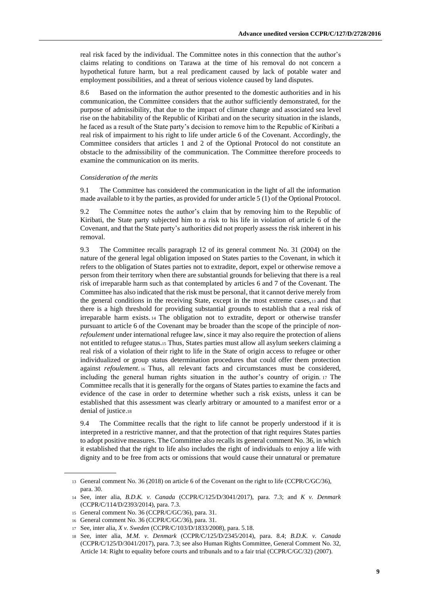real risk faced by the individual. The Committee notes in this connection that the author's claims relating to conditions on Tarawa at the time of his removal do not concern a hypothetical future harm, but a real predicament caused by lack of potable water and employment possibilities, and a threat of serious violence caused by land disputes.

8.6 Based on the information the author presented to the domestic authorities and in his communication, the Committee considers that the author sufficiently demonstrated, for the purpose of admissibility, that due to the impact of climate change and associated sea level rise on the habitability of the Republic of Kiribati and on the security situation in the islands, he faced as a result of the State party's decision to remove him to the Republic of Kiribati a real risk of impairment to his right to life under article 6 of the Covenant. Accordingly, the Committee considers that articles 1 and 2 of the Optional Protocol do not constitute an obstacle to the admissibility of the communication. The Committee therefore proceeds to examine the communication on its merits.

#### *Consideration of the merits*

9.1 The Committee has considered the communication in the light of all the information made available to it by the parties, as provided for under article 5 (1) of the Optional Protocol.

9.2 The Committee notes the author's claim that by removing him to the Republic of Kiribati, the State party subjected him to a risk to his life in violation of article 6 of the Covenant, and that the State party's authorities did not properly assess the risk inherent in his removal.

9.3 The Committee recalls paragraph 12 of its general comment No. 31 (2004) on the nature of the general legal obligation imposed on States parties to the Covenant, in which it refers to the obligation of States parties not to extradite, deport, expel or otherwise remove a person from their territory when there are substantial grounds for believing that there is a real risk of irreparable harm such as that contemplated by articles 6 and 7 of the Covenant. The Committee has also indicated that the risk must be personal, that it cannot derive merely from the general conditions in the receiving State, except in the most extreme cases,<sup>13</sup> and that there is a high threshold for providing substantial grounds to establish that a real risk of irreparable harm exists. <sup>14</sup> The obligation not to extradite, deport or otherwise transfer pursuant to article 6 of the Covenant may be broader than the scope of the principle of *nonrefoulement* under international refugee law, since it may also require the protection of aliens not entitled to refugee status.<sup>15</sup> Thus, States parties must allow all asylum seekers claiming a real risk of a violation of their right to life in the State of origin access to refugee or other individualized or group status determination procedures that could offer them protection against *refoulement*. <sup>16</sup> Thus, all relevant facts and circumstances must be considered, including the general human rights situation in the author's country of origin. <sup>17</sup> The Committee recalls that it is generally for the organs of States parties to examine the facts and evidence of the case in order to determine whether such a risk exists, unless it can be established that this assessment was clearly arbitrary or amounted to a manifest error or a denial of justice.<sup>18</sup>

9.4 The Committee recalls that the right to life cannot be properly understood if it is interpreted in a restrictive manner, and that the protection of that right requires States parties to adopt positive measures. The Committee also recalls its general comment No. 36, in which it established that the right to life also includes the right of individuals to enjoy a life with dignity and to be free from acts or omissions that would cause their unnatural or premature

<sup>13</sup> General comment No. 36 (2018) on article 6 of the Covenant on the right to life (CCPR/C/GC/36), para. 30.

<sup>14</sup> See, inter alia, *B.D.K. v. Canada* (CCPR/C/125/D/3041/2017), para. 7.3; and *K v. Denmark* (CCPR/C/114/D/2393/2014), para. 7.3.

<sup>15</sup> General comment No. 36 (CCPR/C/GC/36), para. 31.

<sup>16</sup> General comment No. 36 (CCPR/C/GC/36), para. 31.

<sup>17</sup> See, inter alia, *X v. Sweden* (CCPR/C/103/D/1833/2008), para. 5.18.

<sup>18</sup> See, inter alia, *M.M. v. Denmark* (CCPR/C/125/D/2345/2014), para. 8.4; *B.D.K. v. Canada* (CCPR/C/125/D/3041/2017), para. 7.3; see also Human Rights Committee, General Comment No. 32, Article 14: Right to equality before courts and tribunals and to a fair trial (CCPR/C/GC/32) (2007).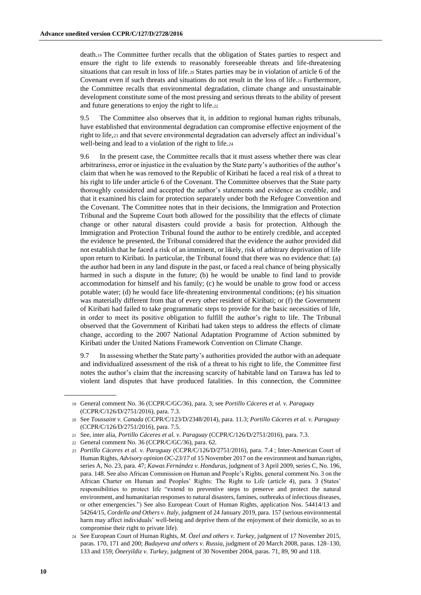death.<sup>19</sup> The Committee further recalls that the obligation of States parties to respect and ensure the right to life extends to reasonably foreseeable threats and life-threatening situations that can result in loss of life.<sup>20</sup> States parties may be in violation of article 6 of the Covenant even if such threats and situations do not result in the loss of life.<sup>21</sup> Furthermore, the Committee recalls that environmental degradation, climate change and unsustainable development constitute some of the most pressing and serious threats to the ability of present and future generations to enjoy the right to life.<sup>22</sup>

9.5 The Committee also observes that it, in addition to regional human rights tribunals, have established that environmental degradation can compromise effective enjoyment of the right to life,<sup>23</sup> and that severe environmental degradation can adversely affect an individual's well-being and lead to a violation of the right to life.<sup>24</sup>

9.6 In the present case, the Committee recalls that it must assess whether there was clear arbitrariness, error or injustice in the evaluation by the State party's authorities of the author's claim that when he was removed to the Republic of Kiribati he faced a real risk of a threat to his right to life under article 6 of the Covenant. The Committee observes that the State party thoroughly considered and accepted the author's statements and evidence as credible, and that it examined his claim for protection separately under both the Refugee Convention and the Covenant. The Committee notes that in their decisions, the Immigration and Protection Tribunal and the Supreme Court both allowed for the possibility that the effects of climate change or other natural disasters could provide a basis for protection. Although the Immigration and Protection Tribunal found the author to be entirely credible, and accepted the evidence he presented, the Tribunal considered that the evidence the author provided did not establish that he faced a risk of an imminent, or likely, risk of arbitrary deprivation of life upon return to Kiribati. In particular, the Tribunal found that there was no evidence that: (a) the author had been in any land dispute in the past, or faced a real chance of being physically harmed in such a dispute in the future; (b) he would be unable to find land to provide accommodation for himself and his family; (c) he would be unable to grow food or access potable water; (d) he would face life-threatening environmental conditions; (e) his situation was materially different from that of every other resident of Kiribati; or (f) the Government of Kiribati had failed to take programmatic steps to provide for the basic necessities of life, in order to meet its positive obligation to fulfill the author's right to life. The Tribunal observed that the Government of Kiribati had taken steps to address the effects of climate change, according to the 2007 National Adaptation Programme of Action submitted by Kiribati under the United Nations Framework Convention on Climate Change.

9.7 In assessing whether the State party's authorities provided the author with an adequate and individualized assessment of the risk of a threat to his right to life, the Committee first notes the author's claim that the increasing scarcity of habitable land on Tarawa has led to violent land disputes that have produced fatalities. In this connection, the Committee

<sup>19</sup> General comment No. 36 (CCPR/C/GC/36), para. 3; see *Portillo Cáceres et al. v. Paraguay* (CCPR/C/126/D/2751/2016), para. 7.3.

<sup>20</sup> See *Toussaint v. Canada* (CCPR/C/123/D/2348/2014), para. 11.3; *Portillo Cáceres et al. v. Paraguay* (CCPR/C/126/D/2751/2016), para. 7.5.

<sup>21</sup> See, inter alia, *Portillo Cáceres et al. v. Paraguay* (CCPR/C/126/D/2751/2016), para. 7.3.

<sup>22</sup> General comment No. 36 (CCPR/C/GC/36), para. 62.

<sup>23</sup> *Portillo Cáceres et al. v. Paraguay* (CCPR/C/126/D/2751/2016), para. 7.4 ; Inter-American Court of Human Rights, *Advisory opinion OC-23/17* of 15 November 2017 on the environment and human rights, series A, No. 23, para. 47; *Kawas Fernández v. Honduras*, judgment of 3 April 2009, series C, No. 196, para. 148. See also African Commission on Human and People's Rights, general comment No. 3 on the African Charter on Human and Peoples' Rights: The Right to Life (article 4), para. 3 (States' responsibilities to protect life "extend to preventive steps to preserve and protect the natural environment, and humanitarian responses to natural disasters, famines, outbreaks of infectious diseases, or other emergencies.") See also European Court of Human Rights, application Nos. 54414/13 and 54264/15, *Cordella and Others v. Italy*, judgment of 24 January 2019, para. 157 (serious environmental harm may affect individuals' well-being and deprive them of the enjoyment of their domicile, so as to compromise their right to private life).

<sup>24</sup> See European Court of Human Rights, *M. Özel and others v. Turkey*, judgment of 17 November 2015, paras. 170, 171 and 200; *Budayeva and others v. Russia*, judgment of 20 March 2008, paras. 128–130, 133 and 159; *Öneryildiz v. Turkey*, judgment of 30 November 2004, paras. 71, 89, 90 and 118.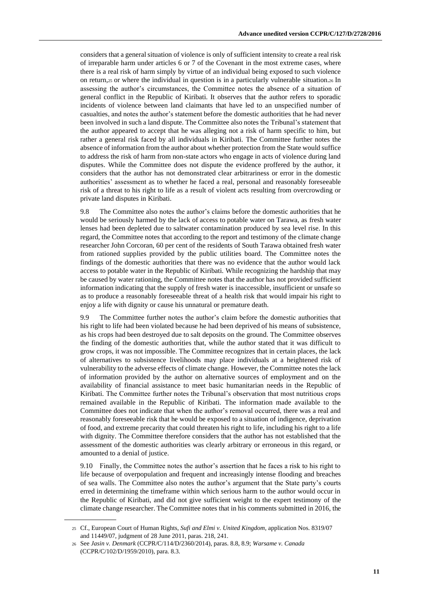considers that a general situation of violence is only of sufficient intensity to create a real risk of irreparable harm under articles 6 or 7 of the Covenant in the most extreme cases, where there is a real risk of harm simply by virtue of an individual being exposed to such violence on return,<sup>25</sup> or where the individual in question is in a particularly vulnerable situation.<sup>26</sup> In assessing the author's circumstances, the Committee notes the absence of a situation of general conflict in the Republic of Kiribati. It observes that the author refers to sporadic incidents of violence between land claimants that have led to an unspecified number of casualties, and notes the author's statement before the domestic authorities that he had never been involved in such a land dispute. The Committee also notes the Tribunal's statement that the author appeared to accept that he was alleging not a risk of harm specific to him, but rather a general risk faced by all individuals in Kiribati. The Committee further notes the absence of information from the author about whether protection from the State would suffice to address the risk of harm from non-state actors who engage in acts of violence during land disputes. While the Committee does not dispute the evidence proffered by the author, it considers that the author has not demonstrated clear arbitrariness or error in the domestic authorities' assessment as to whether he faced a real, personal and reasonably foreseeable risk of a threat to his right to life as a result of violent acts resulting from overcrowding or private land disputes in Kiribati.

9.8 The Committee also notes the author's claims before the domestic authorities that he would be seriously harmed by the lack of access to potable water on Tarawa, as fresh water lenses had been depleted due to saltwater contamination produced by sea level rise. In this regard, the Committee notes that according to the report and testimony of the climate change researcher John Corcoran, 60 per cent of the residents of South Tarawa obtained fresh water from rationed supplies provided by the public utilities board. The Committee notes the findings of the domestic authorities that there was no evidence that the author would lack access to potable water in the Republic of Kiribati. While recognizing the hardship that may be caused by water rationing, the Committee notes that the author has not provided sufficient information indicating that the supply of fresh water is inaccessible, insufficient or unsafe so as to produce a reasonably foreseeable threat of a health risk that would impair his right to enjoy a life with dignity or cause his unnatural or premature death.

9.9 The Committee further notes the author's claim before the domestic authorities that his right to life had been violated because he had been deprived of his means of subsistence, as his crops had been destroyed due to salt deposits on the ground. The Committee observes the finding of the domestic authorities that, while the author stated that it was difficult to grow crops, it was not impossible. The Committee recognizes that in certain places, the lack of alternatives to subsistence livelihoods may place individuals at a heightened risk of vulnerability to the adverse effects of climate change. However, the Committee notes the lack of information provided by the author on alternative sources of employment and on the availability of financial assistance to meet basic humanitarian needs in the Republic of Kiribati. The Committee further notes the Tribunal's observation that most nutritious crops remained available in the Republic of Kiribati. The information made available to the Committee does not indicate that when the author's removal occurred, there was a real and reasonably foreseeable risk that he would be exposed to a situation of indigence, deprivation of food, and extreme precarity that could threaten his right to life, including his right to a life with dignity. The Committee therefore considers that the author has not established that the assessment of the domestic authorities was clearly arbitrary or erroneous in this regard, or amounted to a denial of justice.

9.10 Finally, the Committee notes the author's assertion that he faces a risk to his right to life because of overpopulation and frequent and increasingly intense flooding and breaches of sea walls. The Committee also notes the author's argument that the State party's courts erred in determining the timeframe within which serious harm to the author would occur in the Republic of Kiribati, and did not give sufficient weight to the expert testimony of the climate change researcher. The Committee notes that in his comments submitted in 2016, the

<sup>25</sup> Cf., European Court of Human Rights, *Sufi and Elmi v. United Kingdom*, application Nos. 8319/07 and 11449/07, judgment of 28 June 2011, paras. 218, 241.

<sup>26</sup> See *Jasin v. Denmark* (CCPR/C/114/D/2360/2014), paras. 8.8, 8.9; *Warsame v. Canada* (CCPR/C/102/D/1959/2010), para. 8.3.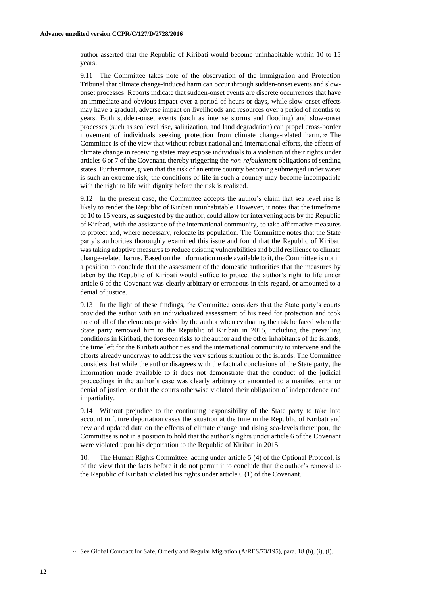author asserted that the Republic of Kiribati would become uninhabitable within 10 to 15 years.

9.11 The Committee takes note of the observation of the Immigration and Protection Tribunal that climate change-induced harm can occur through sudden-onset events and slowonset processes. Reports indicate that sudden-onset events are discrete occurrences that have an immediate and obvious impact over a period of hours or days, while slow-onset effects may have a gradual, adverse impact on livelihoods and resources over a period of months to years. Both sudden-onset events (such as intense storms and flooding) and slow-onset processes (such as sea level rise, salinization, and land degradation) can propel cross-border movement of individuals seeking protection from climate change-related harm. <sup>27</sup> The Committee is of the view that without robust national and international efforts, the effects of climate change in receiving states may expose individuals to a violation of their rights under articles 6 or 7 of the Covenant, thereby triggering the *non-refoulement* obligations of sending states.Furthermore, given that the risk of an entire country becoming submerged under water is such an extreme risk, the conditions of life in such a country may become incompatible with the right to life with dignity before the risk is realized.

9.12 In the present case, the Committee accepts the author's claim that sea level rise is likely to render the Republic of Kiribati uninhabitable. However, it notes that the timeframe of 10 to 15 years, as suggested by the author, could allow for intervening acts by the Republic of Kiribati, with the assistance of the international community, to take affirmative measures to protect and, where necessary, relocate its population. The Committee notes that the State party's authorities thoroughly examined this issue and found that the Republic of Kiribati was taking adaptive measures to reduce existing vulnerabilities and build resilience to climate change-related harms. Based on the information made available to it, the Committee is not in a position to conclude that the assessment of the domestic authorities that the measures by taken by the Republic of Kiribati would suffice to protect the author's right to life under article 6 of the Covenant was clearly arbitrary or erroneous in this regard, or amounted to a denial of justice.

9.13 In the light of these findings, the Committee considers that the State party's courts provided the author with an individualized assessment of his need for protection and took note of all of the elements provided by the author when evaluating the risk he faced when the State party removed him to the Republic of Kiribati in 2015, including the prevailing conditions in Kiribati, the foreseen risks to the author and the other inhabitants of the islands, the time left for the Kiribati authorities and the international community to intervene and the efforts already underway to address the very serious situation of the islands. The Committee considers that while the author disagrees with the factual conclusions of the State party, the information made available to it does not demonstrate that the conduct of the judicial proceedings in the author's case was clearly arbitrary or amounted to a manifest error or denial of justice, or that the courts otherwise violated their obligation of independence and impartiality.

9.14 Without prejudice to the continuing responsibility of the State party to take into account in future deportation cases the situation at the time in the Republic of Kiribati and new and updated data on the effects of climate change and rising sea-levels thereupon, the Committee is not in a position to hold that the author's rights under article 6 of the Covenant were violated upon his deportation to the Republic of Kiribati in 2015.

10. The Human Rights Committee, acting under article 5 (4) of the Optional Protocol, is of the view that the facts before it do not permit it to conclude that the author's removal to the Republic of Kiribati violated his rights under article 6 (1) of the Covenant.

<sup>27</sup> See Global Compact for Safe, Orderly and Regular Migration (A/RES/73/195), para. 18 (h), (i), (l).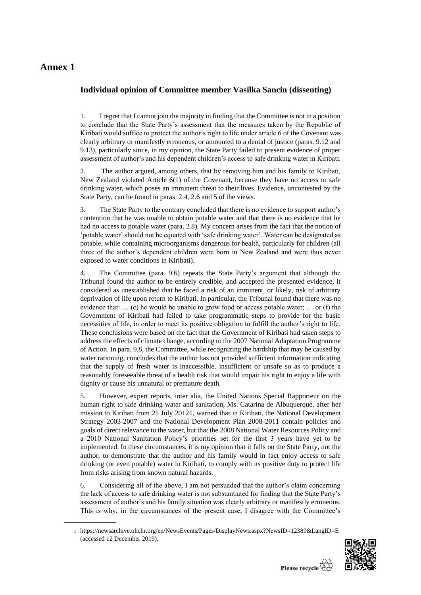## **Annex 1**

### **Individual opinion of Committee member Vasilka Sancin (dissenting)**

1. I regret that I cannot join the majority in finding that the Committee is not in a position to conclude that the State Party's assessment that the measures taken by the Republic of Kiribati would suffice to protect the author's right to life under article 6 of the Covenant was clearly arbitrary or manifestly erroneous, or amounted to a denial of justice (paras. 9.12 and 9.13), particularly since, in my opinion, the State Party failed to present evidence of proper assessment of author's and his dependent children's access to safe drinking water in Kiribati.

2. The author argued, among others, that by removing him and his family to Kiribati, New Zealand violated Article 6(1) of the Covenant, because they have no access to safe drinking water, which poses an imminent threat to their lives. Evidence, uncontested by the State Party, can be found in paras. 2.4, 2.6 and 5 of the views.

3. The State Party to the contrary concluded that there is no evidence to support author's contention that he was unable to obtain potable water and that there is no evidence that he had no access to potable water (para. 2.8). My concern arises from the fact that the notion of 'potable water' should not be equated with 'safe drinking water'. Water can be designated as potable, while containing microorganisms dangerous for health, particularly for children (all three of the author's dependent children were born in New Zealand and were thus never exposed to water conditions in Kiribati).

4. The Committee (para. 9.6) repeats the State Party's argument that although the Tribunal found the author to be entirely credible, and accepted the presented evidence, it considered as unestablished that he faced a risk of an imminent, or likely, risk of arbitrary deprivation of life upon return to Kiribati. In particular, the Tribunal found that there was no evidence that:  $\dots$  (c) he would be unable to grow food or access potable water;  $\dots$  or (f) the Government of Kiribati had failed to take programmatic steps to provide for the basic necessities of life, in order to meet its positive obligation to fulfill the author's right to life. These conclusions were based on the fact that the Government of Kiribati had taken steps to address the effects of climate change, according to the 2007 National Adaptation Programme of Action. In para. 9.8, the Committee, while recognizing the hardship that may be caused by water rationing, concludes that the author has not provided sufficient information indicating that the supply of fresh water is inaccessible, insufficient or unsafe so as to produce a reasonably foreseeable threat of a health risk that would impair his right to enjoy a life with dignity or cause his unnatural or premature death.

5. However, expert reports, inter alia, the United Nations Special Rapporteur on the human right to safe drinking water and sanitation, Ms. Catarina de Albuquerque, after her mission to Kiribati from 25 July 20121, warned that in Kiribati, the National Development Strategy 2003-2007 and the National Development Plan 2008-2011 contain policies and goals of direct relevance to the water, but that the 2008 National Water Resources Policy and a 2010 National Sanitation Policy's priorities set for the first 3 years have yet to be implemented. In these circumstances, it is my opinion that it falls on the State Party, not the author, to demonstrate that the author and his family would in fact enjoy access to safe drinking (or even potable) water in Kiribati, to comply with its positive duty to protect life from risks arising from known natural hazards.

6. Considering all of the above, I am not persuaded that the author's claim concerning the lack of access to safe drinking water is not substantiated for finding that the State Party's assessment of author's and his family situation was clearly arbitrary or manifestly erroneous. This is why, in the circumstances of the present case, I disagree with the Committee's

<sup>1</sup> <https://newsarchive.ohchr.org/en/NewsEvents/Pages/DisplayNews.aspx?NewsID=12389&LangID=E> (accessed 12 December 2019).

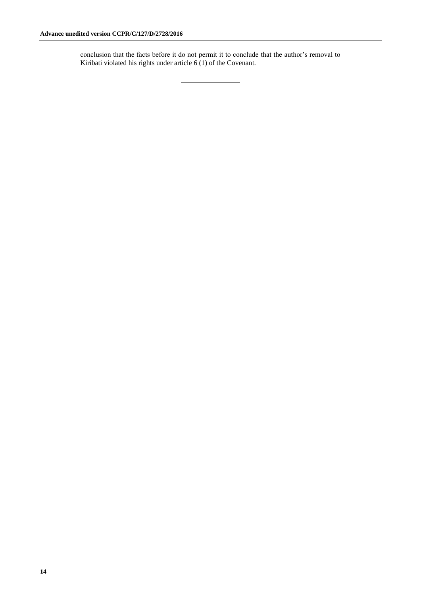conclusion that the facts before it do not permit it to conclude that the author's removal to Kiribati violated his rights under article  $6(1)$  of the Covenant.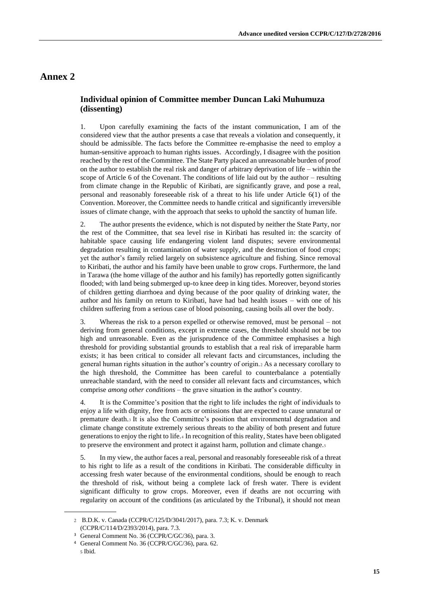### **Annex 2**

### **Individual opinion of Committee member Duncan Laki Muhumuza (dissenting)**

1. Upon carefully examining the facts of the instant communication, I am of the considered view that the author presents a case that reveals a violation and consequently, it should be admissible. The facts before the Committee re-emphasise the need to employ a human-sensitive approach to human rights issues. Accordingly, I disagree with the position reached by the rest of the Committee. The State Party placed an unreasonable burden of proof on the author to establish the real risk and danger of arbitrary deprivation of life – within the scope of Article 6 of the Covenant. The conditions of life laid out by the author – resulting from climate change in the Republic of Kiribati, are significantly grave, and pose a real, personal and reasonably foreseeable risk of a threat to his life under Article 6(1) of the Convention. Moreover, the Committee needs to handle critical and significantly irreversible issues of climate change, with the approach that seeks to uphold the sanctity of human life.

2. The author presents the evidence, which is not disputed by neither the State Party, nor the rest of the Committee, that sea level rise in Kiribati has resulted in: the scarcity of habitable space causing life endangering violent land disputes; severe environmental degradation resulting in contamination of water supply, and the destruction of food crops; yet the author's family relied largely on subsistence agriculture and fishing. Since removal to Kiribati, the author and his family have been unable to grow crops. Furthermore, the land in Tarawa (the home village of the author and his family) has reportedly gotten significantly flooded; with land being submerged up-to knee deep in king tides. Moreover, beyond stories of children getting diarrhoea and dying because of the poor quality of drinking water, the author and his family on return to Kiribati, have had bad health issues – with one of his children suffering from a serious case of blood poisoning, causing boils all over the body.

3. Whereas the risk to a person expelled or otherwise removed, must be personal – not deriving from general conditions, except in extreme cases, the threshold should not be too high and unreasonable. Even as the jurisprudence of the Committee emphasises a high threshold for providing substantial grounds to establish that a real risk of irreparable harm exists; it has been critical to consider all relevant facts and circumstances, including the general human rights situation in the author's country of origin.<sup>2</sup> As a necessary corollary to the high threshold, the Committee has been careful to counterbalance a potentially unreachable standard, with the need to consider all relevant facts and circumstances, which comprise *among other conditions* – the grave situation in the author's country.

4. It is the Committee's position that the right to life includes the right of individuals to enjoy a life with dignity, free from acts or omissions that are expected to cause unnatural or premature death.<sup>3</sup> It is also the Committee's position that environmental degradation and climate change constitute extremely serious threats to the ability of both present and future generations to enjoy the right to life.<sup>4</sup> In recognition of this reality, States have been obligated to preserve the environment and protect it against harm, pollution and climate change.<sup>5</sup>

5. In my view, the author faces a real, personal and reasonably foreseeable risk of a threat to his right to life as a result of the conditions in Kiribati. The considerable difficulty in accessing fresh water because of the environmental conditions, should be enough to reach the threshold of risk, without being a complete lack of fresh water. There is evident significant difficulty to grow crops. Moreover, even if deaths are not occurring with regularity on account of the conditions (as articulated by the Tribunal), it should not mean

<sup>2</sup> B.D.K. v. Canada (CCPR/C/125/D/3041/2017), para. 7.3; K. v. Denmark (CCPR/C/114/D/2393/2014), para. 7.3.

<sup>3</sup> General Comment No. 36 (CCPR/C/GC/36), para. 3.

<sup>4</sup> General Comment No. 36 (CCPR/C/GC/36), para. 62. <sup>5</sup> Ibid.